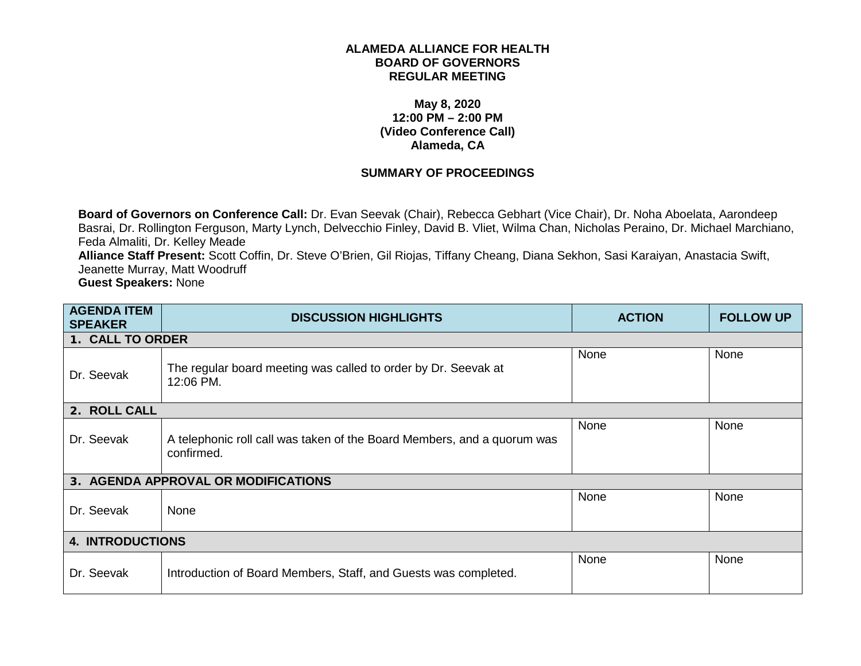## **ALAMEDA ALLIANCE FOR HEALTH BOARD OF GOVERNORS REGULAR MEETING**

## **May 8, 2020 12:00 PM – 2:00 PM (Video Conference Call) Alameda, CA**

## **SUMMARY OF PROCEEDINGS**

**Board of Governors on Conference Call:** Dr. Evan Seevak (Chair), Rebecca Gebhart (Vice Chair), Dr. Noha Aboelata, Aarondeep Basrai, Dr. Rollington Ferguson, Marty Lynch, Delvecchio Finley, David B. Vliet, Wilma Chan, Nicholas Peraino, Dr. Michael Marchiano, Feda Almaliti, Dr. Kelley Meade

**Alliance Staff Present:** Scott Coffin, Dr. Steve O'Brien, Gil Riojas, Tiffany Cheang, Diana Sekhon, Sasi Karaiyan, Anastacia Swift, Jeanette Murray, Matt Woodruff

**Guest Speakers:** None

| <b>AGENDA ITEM</b><br><b>SPEAKER</b> | <b>DISCUSSION HIGHLIGHTS</b>                                                          | <b>ACTION</b> | <b>FOLLOW UP</b> |
|--------------------------------------|---------------------------------------------------------------------------------------|---------------|------------------|
| 1. CALL TO ORDER                     |                                                                                       |               |                  |
| Dr. Seevak                           | The regular board meeting was called to order by Dr. Seevak at<br>12:06 PM.           | None          | None             |
| 2. ROLL CALL                         |                                                                                       |               |                  |
| Dr. Seevak                           | A telephonic roll call was taken of the Board Members, and a quorum was<br>confirmed. | None          | None             |
|                                      | 3. AGENDA APPROVAL OR MODIFICATIONS                                                   |               |                  |
| Dr. Seevak                           | None                                                                                  | None          | None             |
| <b>4. INTRODUCTIONS</b>              |                                                                                       |               |                  |
| Dr. Seevak                           | Introduction of Board Members, Staff, and Guests was completed.                       | None          | None             |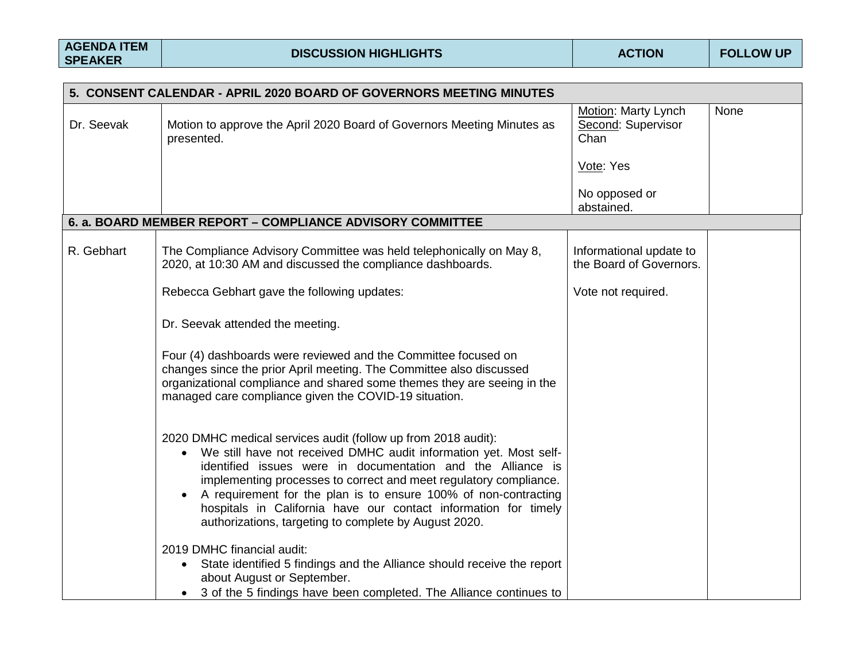|            | 5. CONSENT CALENDAR - APRIL 2020 BOARD OF GOVERNORS MEETING MINUTES                                                                                                                                                                                                                                                                                                                                                                                                                |                                                    |      |
|------------|------------------------------------------------------------------------------------------------------------------------------------------------------------------------------------------------------------------------------------------------------------------------------------------------------------------------------------------------------------------------------------------------------------------------------------------------------------------------------------|----------------------------------------------------|------|
| Dr. Seevak | Motion to approve the April 2020 Board of Governors Meeting Minutes as<br>presented.                                                                                                                                                                                                                                                                                                                                                                                               | Motion: Marty Lynch<br>Second: Supervisor<br>Chan  | None |
|            |                                                                                                                                                                                                                                                                                                                                                                                                                                                                                    | Vote: Yes                                          |      |
|            |                                                                                                                                                                                                                                                                                                                                                                                                                                                                                    | No opposed or<br>abstained.                        |      |
|            | 6. a. BOARD MEMBER REPORT - COMPLIANCE ADVISORY COMMITTEE                                                                                                                                                                                                                                                                                                                                                                                                                          |                                                    |      |
| R. Gebhart | The Compliance Advisory Committee was held telephonically on May 8,<br>2020, at 10:30 AM and discussed the compliance dashboards.                                                                                                                                                                                                                                                                                                                                                  | Informational update to<br>the Board of Governors. |      |
|            | Rebecca Gebhart gave the following updates:                                                                                                                                                                                                                                                                                                                                                                                                                                        | Vote not required.                                 |      |
|            | Dr. Seevak attended the meeting.                                                                                                                                                                                                                                                                                                                                                                                                                                                   |                                                    |      |
|            | Four (4) dashboards were reviewed and the Committee focused on<br>changes since the prior April meeting. The Committee also discussed<br>organizational compliance and shared some themes they are seeing in the<br>managed care compliance given the COVID-19 situation.                                                                                                                                                                                                          |                                                    |      |
|            | 2020 DMHC medical services audit (follow up from 2018 audit):<br>We still have not received DMHC audit information yet. Most self-<br>$\bullet$<br>identified issues were in documentation and the Alliance is<br>implementing processes to correct and meet regulatory compliance.<br>A requirement for the plan is to ensure 100% of non-contracting<br>hospitals in California have our contact information for timely<br>authorizations, targeting to complete by August 2020. |                                                    |      |
|            | 2019 DMHC financial audit:<br>State identified 5 findings and the Alliance should receive the report<br>about August or September.<br>3 of the 5 findings have been completed. The Alliance continues to                                                                                                                                                                                                                                                                           |                                                    |      |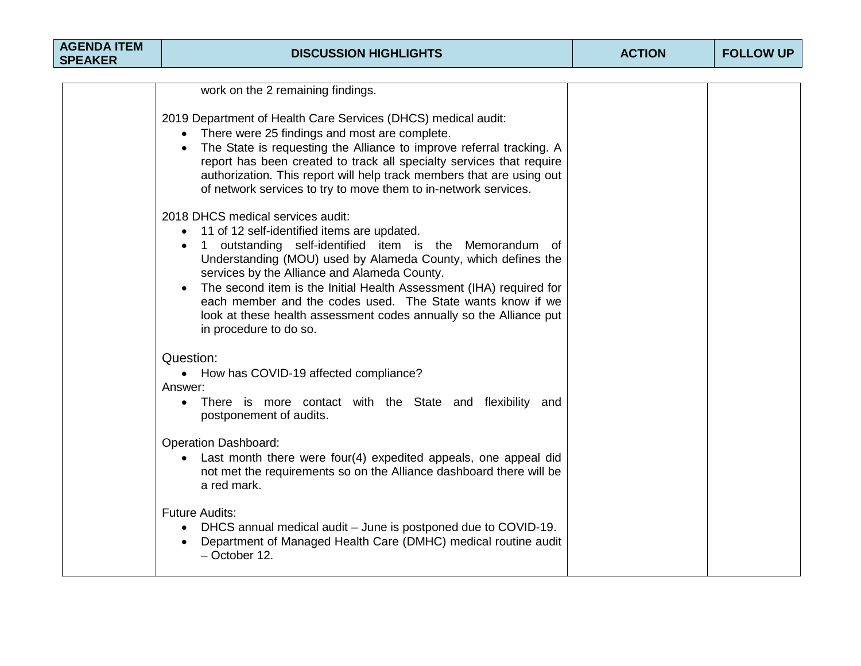| <b>AGENDA ITEM</b><br><b>SPEAKER</b> | <b>DISCUSSION HIGHLIGHTS</b>                                                                                                                                                                                                                                                                                                                                                                                                                                                                                   | <b>ACTION</b> | <b>FOLLOW UP</b> |
|--------------------------------------|----------------------------------------------------------------------------------------------------------------------------------------------------------------------------------------------------------------------------------------------------------------------------------------------------------------------------------------------------------------------------------------------------------------------------------------------------------------------------------------------------------------|---------------|------------------|
|                                      |                                                                                                                                                                                                                                                                                                                                                                                                                                                                                                                |               |                  |
|                                      | work on the 2 remaining findings.                                                                                                                                                                                                                                                                                                                                                                                                                                                                              |               |                  |
|                                      | 2019 Department of Health Care Services (DHCS) medical audit:<br>• There were 25 findings and most are complete.<br>• The State is requesting the Alliance to improve referral tracking. A<br>report has been created to track all specialty services that require<br>authorization. This report will help track members that are using out<br>of network services to try to move them to in-network services.                                                                                                 |               |                  |
|                                      | 2018 DHCS medical services audit:<br>11 of 12 self-identified items are updated.<br>$\bullet$<br>1 outstanding self-identified item is the Memorandum of<br>Understanding (MOU) used by Alameda County, which defines the<br>services by the Alliance and Alameda County.<br>The second item is the Initial Health Assessment (IHA) required for<br>each member and the codes used. The State wants know if we<br>look at these health assessment codes annually so the Alliance put<br>in procedure to do so. |               |                  |
|                                      | Question:<br>• How has COVID-19 affected compliance?<br>Answer:<br>There is more contact with the State and flexibility and<br>$\bullet$<br>postponement of audits.                                                                                                                                                                                                                                                                                                                                            |               |                  |
|                                      | <b>Operation Dashboard:</b><br>Last month there were four(4) expedited appeals, one appeal did<br>not met the requirements so on the Alliance dashboard there will be<br>a red mark.                                                                                                                                                                                                                                                                                                                           |               |                  |
|                                      | <b>Future Audits:</b><br>DHCS annual medical audit – June is postponed due to COVID-19.<br>Department of Managed Health Care (DMHC) medical routine audit<br>$-$ October 12.                                                                                                                                                                                                                                                                                                                                   |               |                  |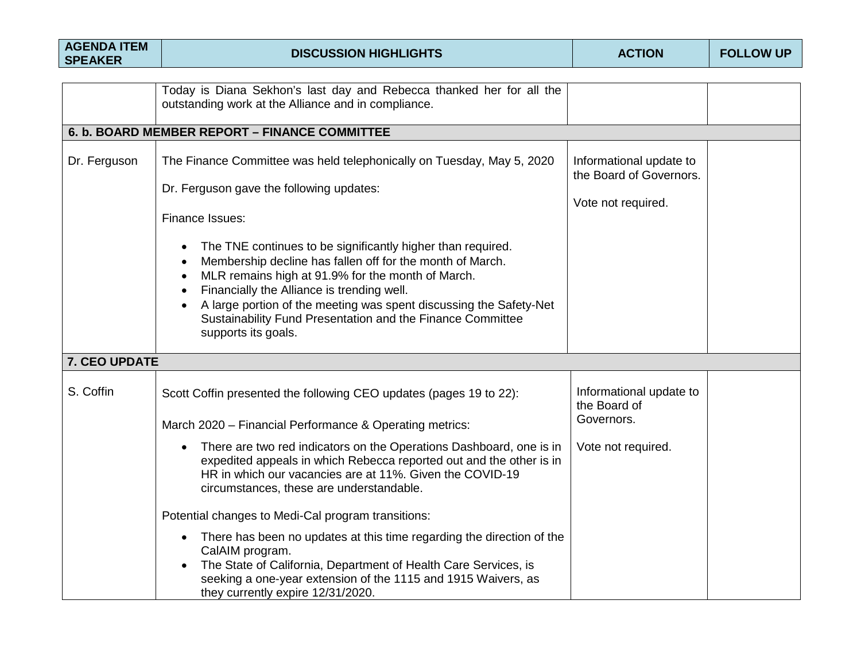| <b>AGENDA ITEM</b><br><b>SPEAKER</b> | <b>DISCUSSION HIGHLIGHTS</b>                                                                                                                                                                                                                                                                                                                                                                                                  | <b>ACTION</b>                                                            | <b>FOLLOW UP</b> |
|--------------------------------------|-------------------------------------------------------------------------------------------------------------------------------------------------------------------------------------------------------------------------------------------------------------------------------------------------------------------------------------------------------------------------------------------------------------------------------|--------------------------------------------------------------------------|------------------|
|                                      |                                                                                                                                                                                                                                                                                                                                                                                                                               |                                                                          |                  |
|                                      | Today is Diana Sekhon's last day and Rebecca thanked her for all the<br>outstanding work at the Alliance and in compliance.                                                                                                                                                                                                                                                                                                   |                                                                          |                  |
|                                      | 6. b. BOARD MEMBER REPORT - FINANCE COMMITTEE                                                                                                                                                                                                                                                                                                                                                                                 |                                                                          |                  |
| Dr. Ferguson                         | The Finance Committee was held telephonically on Tuesday, May 5, 2020<br>Dr. Ferguson gave the following updates:<br>Finance Issues:                                                                                                                                                                                                                                                                                          | Informational update to<br>the Board of Governors.<br>Vote not required. |                  |
|                                      | The TNE continues to be significantly higher than required.<br>Membership decline has fallen off for the month of March.<br>$\bullet$<br>MLR remains high at 91.9% for the month of March.<br>$\bullet$<br>Financially the Alliance is trending well.<br>$\bullet$<br>A large portion of the meeting was spent discussing the Safety-Net<br>Sustainability Fund Presentation and the Finance Committee<br>supports its goals. |                                                                          |                  |
| 7. CEO UPDATE                        |                                                                                                                                                                                                                                                                                                                                                                                                                               |                                                                          |                  |
| S. Coffin                            | Scott Coffin presented the following CEO updates (pages 19 to 22):<br>March 2020 - Financial Performance & Operating metrics:                                                                                                                                                                                                                                                                                                 | Informational update to<br>the Board of<br>Governors.                    |                  |
|                                      | There are two red indicators on the Operations Dashboard, one is in<br>$\bullet$<br>expedited appeals in which Rebecca reported out and the other is in<br>HR in which our vacancies are at 11%. Given the COVID-19<br>circumstances, these are understandable.                                                                                                                                                               | Vote not required.                                                       |                  |
|                                      | Potential changes to Medi-Cal program transitions:                                                                                                                                                                                                                                                                                                                                                                            |                                                                          |                  |
|                                      | There has been no updates at this time regarding the direction of the<br>$\bullet$<br>CalAIM program.<br>The State of California, Department of Health Care Services, is<br>seeking a one-year extension of the 1115 and 1915 Waivers, as<br>they currently expire 12/31/2020.                                                                                                                                                |                                                                          |                  |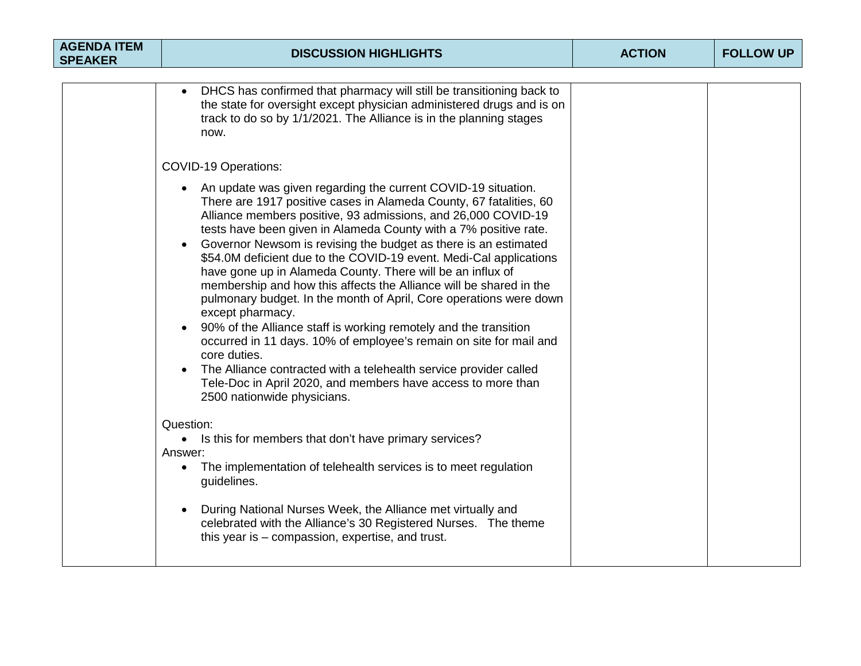| <b>AGENDA ITEM</b><br><b>SPEAKER</b> | <b>DISCUSSION HIGHLIGHTS</b>                                                                                                                                                                                                                                                                                                                                                                                                                                                                                                                                                                                                                                                                                                                                                                                                                                                                                                                                                                                                                                                                                                                                                                                      | <b>ACTION</b> | <b>FOLLOW UP</b> |
|--------------------------------------|-------------------------------------------------------------------------------------------------------------------------------------------------------------------------------------------------------------------------------------------------------------------------------------------------------------------------------------------------------------------------------------------------------------------------------------------------------------------------------------------------------------------------------------------------------------------------------------------------------------------------------------------------------------------------------------------------------------------------------------------------------------------------------------------------------------------------------------------------------------------------------------------------------------------------------------------------------------------------------------------------------------------------------------------------------------------------------------------------------------------------------------------------------------------------------------------------------------------|---------------|------------------|
|                                      |                                                                                                                                                                                                                                                                                                                                                                                                                                                                                                                                                                                                                                                                                                                                                                                                                                                                                                                                                                                                                                                                                                                                                                                                                   |               |                  |
|                                      | DHCS has confirmed that pharmacy will still be transitioning back to<br>$\bullet$<br>the state for oversight except physician administered drugs and is on<br>track to do so by 1/1/2021. The Alliance is in the planning stages<br>now.                                                                                                                                                                                                                                                                                                                                                                                                                                                                                                                                                                                                                                                                                                                                                                                                                                                                                                                                                                          |               |                  |
|                                      | <b>COVID-19 Operations:</b>                                                                                                                                                                                                                                                                                                                                                                                                                                                                                                                                                                                                                                                                                                                                                                                                                                                                                                                                                                                                                                                                                                                                                                                       |               |                  |
|                                      | An update was given regarding the current COVID-19 situation.<br>There are 1917 positive cases in Alameda County, 67 fatalities, 60<br>Alliance members positive, 93 admissions, and 26,000 COVID-19<br>tests have been given in Alameda County with a 7% positive rate.<br>Governor Newsom is revising the budget as there is an estimated<br>\$54.0M deficient due to the COVID-19 event. Medi-Cal applications<br>have gone up in Alameda County. There will be an influx of<br>membership and how this affects the Alliance will be shared in the<br>pulmonary budget. In the month of April, Core operations were down<br>except pharmacy.<br>90% of the Alliance staff is working remotely and the transition<br>occurred in 11 days. 10% of employee's remain on site for mail and<br>core duties.<br>The Alliance contracted with a telehealth service provider called<br>Tele-Doc in April 2020, and members have access to more than<br>2500 nationwide physicians.<br>Question:<br>• Is this for members that don't have primary services?<br>Answer:<br>The implementation of telehealth services is to meet regulation<br>guidelines.<br>During National Nurses Week, the Alliance met virtually and |               |                  |
|                                      | celebrated with the Alliance's 30 Registered Nurses. The theme<br>this year is – compassion, expertise, and trust.                                                                                                                                                                                                                                                                                                                                                                                                                                                                                                                                                                                                                                                                                                                                                                                                                                                                                                                                                                                                                                                                                                |               |                  |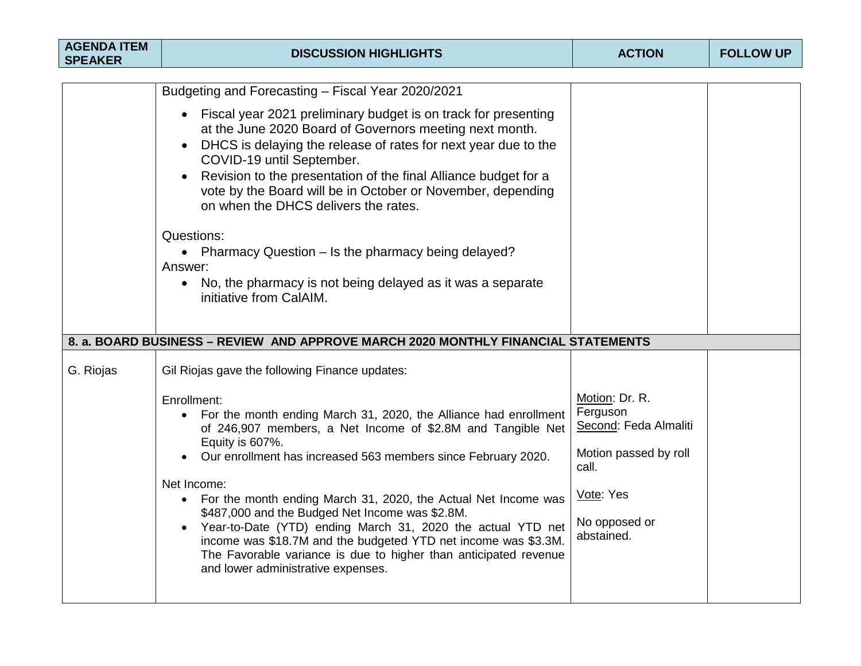| <b>AGENDA ITEM</b><br><b>SPEAKER</b> | <b>DISCUSSION HIGHLIGHTS</b>                                                                                                                                                                                                                                                                                                                                                                                                                                                                                                                                                                                                                                                                                                                                                            | <b>ACTION</b>                                                                                                                     | <b>FOLLOW UP</b> |
|--------------------------------------|-----------------------------------------------------------------------------------------------------------------------------------------------------------------------------------------------------------------------------------------------------------------------------------------------------------------------------------------------------------------------------------------------------------------------------------------------------------------------------------------------------------------------------------------------------------------------------------------------------------------------------------------------------------------------------------------------------------------------------------------------------------------------------------------|-----------------------------------------------------------------------------------------------------------------------------------|------------------|
|                                      | Budgeting and Forecasting - Fiscal Year 2020/2021<br>• Fiscal year 2021 preliminary budget is on track for presenting<br>at the June 2020 Board of Governors meeting next month.<br>DHCS is delaying the release of rates for next year due to the<br>COVID-19 until September.<br>Revision to the presentation of the final Alliance budget for a<br>$\bullet$<br>vote by the Board will be in October or November, depending<br>on when the DHCS delivers the rates.<br>Questions:<br>• Pharmacy Question - Is the pharmacy being delayed?<br>Answer:<br>No, the pharmacy is not being delayed as it was a separate<br>$\bullet$                                                                                                                                                      |                                                                                                                                   |                  |
| G. Riojas                            | initiative from CalAIM.<br>8. a. BOARD BUSINESS - REVIEW AND APPROVE MARCH 2020 MONTHLY FINANCIAL STATEMENTS<br>Gil Riojas gave the following Finance updates:<br>Enrollment:<br>• For the month ending March 31, 2020, the Alliance had enrollment<br>of 246,907 members, a Net Income of \$2.8M and Tangible Net<br>Equity is 607%.<br>Our enrollment has increased 563 members since February 2020.<br>Net Income:<br>• For the month ending March 31, 2020, the Actual Net Income was<br>\$487,000 and the Budged Net Income was \$2.8M.<br>Year-to-Date (YTD) ending March 31, 2020 the actual YTD net<br>income was \$18.7M and the budgeted YTD net income was \$3.3M.<br>The Favorable variance is due to higher than anticipated revenue<br>and lower administrative expenses. | Motion: Dr. R.<br>Ferguson<br>Second: Feda Almaliti<br>Motion passed by roll<br>call.<br>Vote: Yes<br>No opposed or<br>abstained. |                  |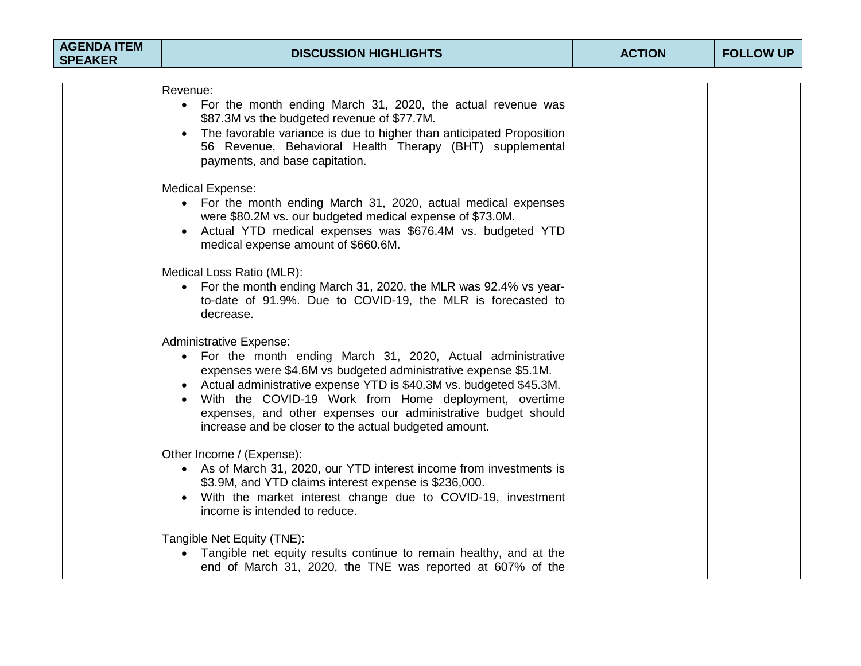| <b>AGENDA ITEM</b> |  |
|--------------------|--|
| <b>SPEAKER</b>     |  |

| /enue:                                                                                                                                                                                                                                                                               |  |  |  |
|--------------------------------------------------------------------------------------------------------------------------------------------------------------------------------------------------------------------------------------------------------------------------------------|--|--|--|
| • For the month ending March 31, 2020, the actual revenue was<br>\$87.3M vs the budgeted revenue of \$77.7M.<br>• The favorable variance is due to higher than anticipated Proposition<br>56 Revenue, Behavioral Health Therapy (BHT) supplemental<br>payments, and base capitation. |  |  |  |
| dical Expense:                                                                                                                                                                                                                                                                       |  |  |  |
| • For the month ending March 31, 2020, actual medical expenses                                                                                                                                                                                                                       |  |  |  |

were \$80.2M vs. our budgeted medical expense of \$73.0M. • Actual YTD medical expenses was \$676.4M vs. budgeted YTD medical expense amount of \$660.6M.

Medical Loss Ratio (MLR):

Revenue:

Medical Expense:

• For the month ending March 31, 2020, the MLR was 92.4% vs yearto-date of 91.9%. Due to COVID-19, the MLR is forecasted to decrease.

Administrative Expense:

- For the month ending March 31, 2020, Actual administrative expenses were \$4.6M vs budgeted administrative expense \$5.1M.
- Actual administrative expense YTD is \$40.3M vs. budgeted \$45.3M.
- With the COVID-19 Work from Home deployment, overtime expenses, and other expenses our administrative budget should increase and be closer to the actual budgeted amount.

Other Income / (Expense):

- As of March 31, 2020, our YTD interest income from investments is \$3.9M, and YTD claims interest expense is \$236,000.
- With the market interest change due to COVID-19, investment income is intended to reduce.

Tangible Net Equity (TNE):

• Tangible net equity results continue to remain healthy, and at the end of March 31, 2020, the TNE was reported at 607% of the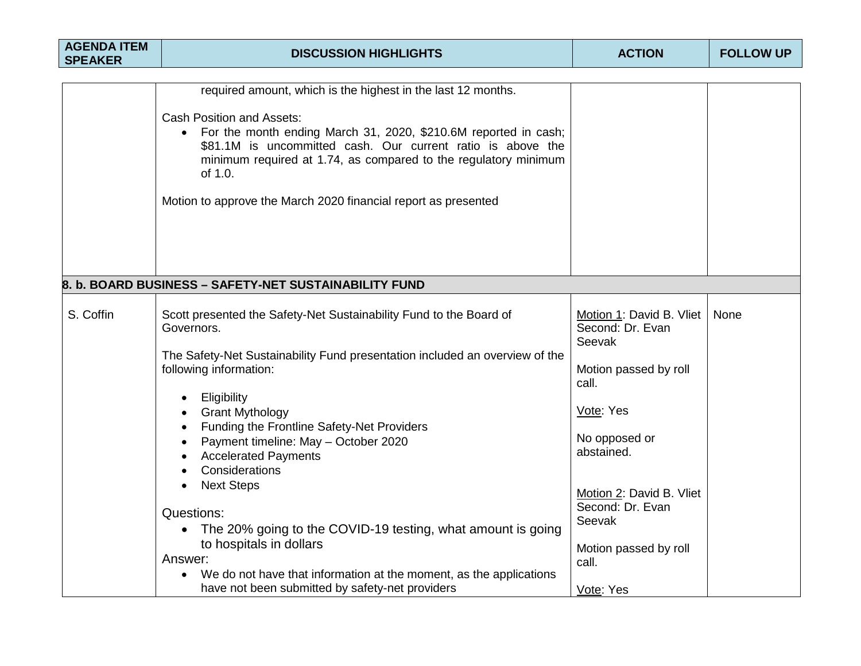| <b>AGENDA ITEM</b><br><b>SPEAKER</b> | <b>DISCUSSION HIGHLIGHTS</b>                                                                                                                                                                                                                                                                                                                                                                                                                                                                                                                                                                                                                                                                                | <b>ACTION</b>                                                                                                                                                                                                                                 | <b>FOLLOW UP</b> |
|--------------------------------------|-------------------------------------------------------------------------------------------------------------------------------------------------------------------------------------------------------------------------------------------------------------------------------------------------------------------------------------------------------------------------------------------------------------------------------------------------------------------------------------------------------------------------------------------------------------------------------------------------------------------------------------------------------------------------------------------------------------|-----------------------------------------------------------------------------------------------------------------------------------------------------------------------------------------------------------------------------------------------|------------------|
|                                      |                                                                                                                                                                                                                                                                                                                                                                                                                                                                                                                                                                                                                                                                                                             |                                                                                                                                                                                                                                               |                  |
|                                      | required amount, which is the highest in the last 12 months.<br><b>Cash Position and Assets:</b><br>For the month ending March 31, 2020, \$210.6M reported in cash;<br>$\bullet$<br>\$81.1M is uncommitted cash. Our current ratio is above the<br>minimum required at 1.74, as compared to the regulatory minimum<br>of 1.0.<br>Motion to approve the March 2020 financial report as presented                                                                                                                                                                                                                                                                                                             |                                                                                                                                                                                                                                               |                  |
|                                      | 8. b. BOARD BUSINESS - SAFETY-NET SUSTAINABILITY FUND                                                                                                                                                                                                                                                                                                                                                                                                                                                                                                                                                                                                                                                       |                                                                                                                                                                                                                                               |                  |
| S. Coffin                            | Scott presented the Safety-Net Sustainability Fund to the Board of<br>Governors.<br>The Safety-Net Sustainability Fund presentation included an overview of the<br>following information:<br>Eligibility<br>Grant Mythology<br><b>Funding the Frontline Safety-Net Providers</b><br>$\bullet$<br>Payment timeline: May - October 2020<br><b>Accelerated Payments</b><br>Considerations<br>$\bullet$<br><b>Next Steps</b><br>$\bullet$<br>Questions:<br>The 20% going to the COVID-19 testing, what amount is going<br>$\bullet$<br>to hospitals in dollars<br>Answer:<br>We do not have that information at the moment, as the applications<br>$\bullet$<br>have not been submitted by safety-net providers | Motion 1: David B. Vliet<br>Second: Dr. Evan<br>Seevak<br>Motion passed by roll<br>call.<br>Vote: Yes<br>No opposed or<br>abstained.<br>Motion 2: David B. Vliet<br>Second: Dr. Evan<br>Seevak<br>Motion passed by roll<br>call.<br>Vote: Yes | None             |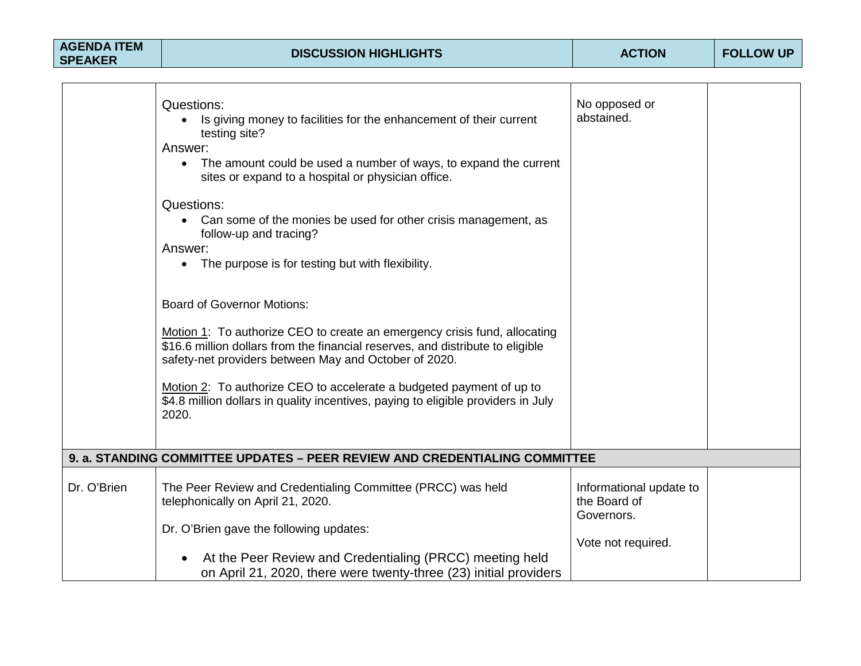| <b>AGENDA ITEM</b><br><b>SPEAKER</b> | <b>DISCUSSION HIGHLIGHTS</b>                                                                                                                                                                                                                                                                                                                                                                                                                                                                                                                                                                                                                                                                                                                                                                                                                           | <b>ACTION</b>                                                               | <b>FOLLOW UP</b> |
|--------------------------------------|--------------------------------------------------------------------------------------------------------------------------------------------------------------------------------------------------------------------------------------------------------------------------------------------------------------------------------------------------------------------------------------------------------------------------------------------------------------------------------------------------------------------------------------------------------------------------------------------------------------------------------------------------------------------------------------------------------------------------------------------------------------------------------------------------------------------------------------------------------|-----------------------------------------------------------------------------|------------------|
|                                      | Questions:<br>Is giving money to facilities for the enhancement of their current<br>testing site?<br>Answer:<br>• The amount could be used a number of ways, to expand the current<br>sites or expand to a hospital or physician office.<br>Questions:<br>Can some of the monies be used for other crisis management, as<br>follow-up and tracing?<br>Answer:<br>• The purpose is for testing but with flexibility.<br><b>Board of Governor Motions:</b><br>Motion 1: To authorize CEO to create an emergency crisis fund, allocating<br>\$16.6 million dollars from the financial reserves, and distribute to eligible<br>safety-net providers between May and October of 2020.<br>Motion 2: To authorize CEO to accelerate a budgeted payment of up to<br>\$4.8 million dollars in quality incentives, paying to eligible providers in July<br>2020. | No opposed or<br>abstained.                                                 |                  |
|                                      | 9. a. STANDING COMMITTEE UPDATES – PEER REVIEW AND CREDENTIALING COMMITTEE                                                                                                                                                                                                                                                                                                                                                                                                                                                                                                                                                                                                                                                                                                                                                                             |                                                                             |                  |
| Dr. O'Brien                          | The Peer Review and Credentialing Committee (PRCC) was held<br>telephonically on April 21, 2020.<br>Dr. O'Brien gave the following updates:<br>At the Peer Review and Credentialing (PRCC) meeting held<br>on April 21, 2020, there were twenty-three (23) initial providers                                                                                                                                                                                                                                                                                                                                                                                                                                                                                                                                                                           | Informational update to<br>the Board of<br>Governors.<br>Vote not required. |                  |